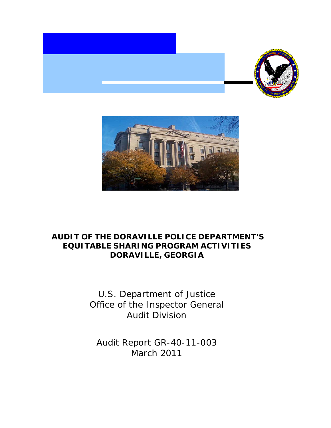



## **AUDIT OF THE DORAVILLE POLICE DEPARTMENT'S EQUITABLE SHARING PROGRAM ACTIVITIES DORAVILLE, GEORGIA**

U.S. Department of Justice Office of the Inspector General Audit Division

Audit Report GR-40-11-003 March 2011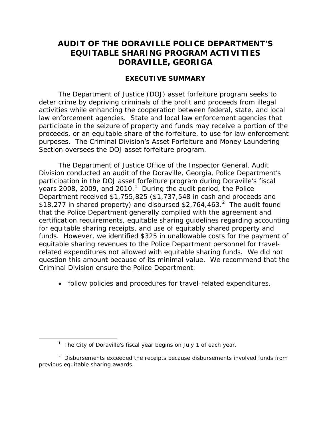## **AUDIT OF THE DORAVILLE POLICE DEPARTMENT'S EQUITABLE SHARING PROGRAM ACTIVITIES DORAVILLE, GEORIGA**

#### **EXECUTIVE SUMMARY**

The Department of Justice (DOJ) asset forfeiture program seeks to deter crime by depriving criminals of the profit and proceeds from illegal activities while enhancing the cooperation between federal, state, and local law enforcement agencies. State and local law enforcement agencies that participate in the seizure of property and funds may receive a portion of the proceeds, or an equitable share of the forfeiture, to use for law enforcement purposes. The Criminal Division's Asset Forfeiture and Money Laundering Section oversees the DOJ asset forfeiture program.

The Department of Justice Office of the Inspector General, Audit Division conducted an audit of the Doraville, Georgia, Police Department's participation in the DOJ asset forfeiture program during Doraville's fiscal years 2008, 2009, and 20[1](#page-1-0)0.<sup>1</sup> During the audit period, the Police Department received \$1,755,825 (\$1,737,548 in cash and proceeds and \$18,[2](#page-1-1)77 in shared property) and disbursed \$2,764,463. $^2$  The audit found that the Police Department generally complied with the agreement and certification requirements, equitable sharing guidelines regarding accounting for equitable sharing receipts, and use of equitably shared property and funds. However, we identified \$325 in unallowable costs for the payment of equitable sharing revenues to the Police Department personnel for travelrelated expenditures not allowed with equitable sharing funds. We did not question this amount because of its minimal value. We recommend that the Criminal Division ensure the Police Department:

• follow policies and procedures for travel-related expenditures.

<span id="page-1-0"></span> $\overline{a}$ 

<sup>&</sup>lt;sup>1</sup> The City of Doraville's fiscal year begins on July 1 of each year.

<span id="page-1-1"></span> $2$  Disbursements exceeded the receipts because disbursements involved funds from previous equitable sharing awards.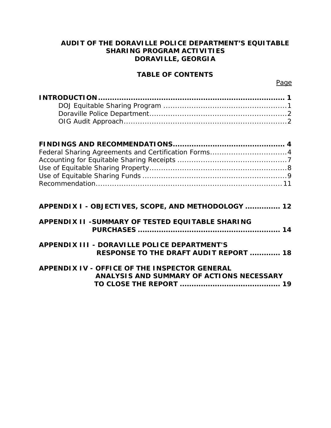#### **AUDIT OF THE DORAVILLE POLICE DEPARTMENT'S EQUITABLE SHARING PROGRAM ACTIVITIES DORAVILLE, GEORGIA**

#### **TABLE OF CONTENTS**

| Federal Sharing Agreements and Certification Forms4     |
|---------------------------------------------------------|
|                                                         |
|                                                         |
|                                                         |
|                                                         |
|                                                         |
|                                                         |
| APPENDIX I - OBJECTIVES, SCOPE, AND METHODOLOGY  12     |
| <b>APPENDIX II -SUMMARY OF TESTED EQUITABLE SHARING</b> |
|                                                         |
|                                                         |
| <b>APPENDIX III - DORAVILLE POLICE DEPARTMENT'S</b>     |
| <b>RESPONSE TO THE DRAFT AUDIT REPORT  18</b>           |
|                                                         |

| APPENDIX IV - OFFICE OF THE INSPECTOR GENERAL |
|-----------------------------------------------|
| ANALYSIS AND SUMMARY OF ACTIONS NECESSARY     |
|                                               |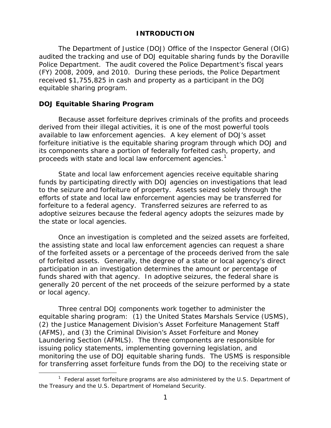#### **INTRODUCTION**

The Department of Justice (DOJ) Office of the Inspector General (OIG) audited the tracking and use of DOJ equitable sharing funds by the Doraville Police Department. The audit covered the Police Department's fiscal years (FY) 2008, 2009, and 2010. During these periods, the Police Department received \$1,755,825 in cash and property as a participant in the DOJ equitable sharing program.

#### **DOJ Equitable Sharing Program**

 $\overline{a}$ 

Because asset forfeiture deprives criminals of the profits and proceeds derived from their illegal activities, it is one of the most powerful tools available to law enforcement agencies. A key element of DOJ's asset forfeiture initiative is the equitable sharing program through which DOJ and its components share a portion of federally forfeited cash, property, and proceeds with state and local law enforcement agencies.<sup>[1](#page-3-0)</sup>

State and local law enforcement agencies receive equitable sharing funds by participating directly with DOJ agencies on investigations that lead to the seizure and forfeiture of property. Assets seized solely through the efforts of state and local law enforcement agencies may be transferred for forfeiture to a federal agency. Transferred seizures are referred to as adoptive seizures because the federal agency adopts the seizures made by the state or local agencies.

Once an investigation is completed and the seized assets are forfeited, the assisting state and local law enforcement agencies can request a share of the forfeited assets or a percentage of the proceeds derived from the sale of forfeited assets. Generally, the degree of a state or local agency's direct participation in an investigation determines the amount or percentage of funds shared with that agency. In adoptive seizures, the federal share is generally 20 percent of the net proceeds of the seizure performed by a state or local agency.

Three central DOJ components work together to administer the equitable sharing program: (1) the United States Marshals Service (USMS), (2) the Justice Management Division's Asset Forfeiture Management Staff (AFMS), and (3) the Criminal Division's Asset Forfeiture and Money Laundering Section (AFMLS). The three components are responsible for issuing policy statements, implementing governing legislation, and monitoring the use of DOJ equitable sharing funds. The USMS is responsible for transferring asset forfeiture funds from the DOJ to the receiving state or

<span id="page-3-0"></span><sup>&</sup>lt;sup>1</sup> Federal asset forfeiture programs are also administered by the U.S. Department of the Treasury and the U.S. Department of Homeland Security.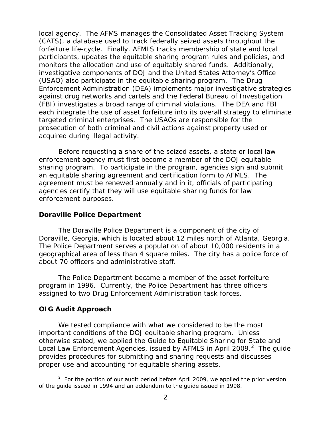local agency. The AFMS manages the Consolidated Asset Tracking System (CATS), a database used to track federally seized assets throughout the forfeiture life-cycle. Finally, AFMLS tracks membership of state and local participants, updates the equitable sharing program rules and policies, and monitors the allocation and use of equitably shared funds. Additionally, investigative components of DOJ and the United States Attorney's Office (USAO) also participate in the equitable sharing program. The Drug Enforcement Administration (DEA) implements major investigative strategies against drug networks and cartels and the Federal Bureau of Investigation (FBI) investigates a broad range of criminal violations. The DEA and FBI each integrate the use of asset forfeiture into its overall strategy to eliminate targeted criminal enterprises. The USAOs are responsible for the prosecution of both criminal and civil actions against property used or acquired during illegal activity.

Before requesting a share of the seized assets, a state or local law enforcement agency must first become a member of the DOJ equitable sharing program. To participate in the program, agencies sign and submit an equitable sharing agreement and certification form to AFMLS. The agreement must be renewed annually and in it, officials of participating agencies certify that they will use equitable sharing funds for law enforcement purposes.

#### **Doraville Police Department**

The Doraville Police Department is a component of the city of Doraville, Georgia, which is located about 12 miles north of Atlanta, Georgia. The Police Department serves a population of about 10,000 residents in a geographical area of less than 4 square miles. The city has a police force of about 70 officers and administrative staff.

The Police Department became a member of the asset forfeiture program in 1996. Currently, the Police Department has three officers assigned to two Drug Enforcement Administration task forces.

#### **OIG Audit Approach**

 $\overline{a}$ 

We tested compliance with what we considered to be the most important conditions of the DOJ equitable sharing program. Unless otherwise stated, we applied the *Guide to Equitable Sharing for State and*  Local Law Enforcement Agencies, issued by AFMLS in April [2](#page-4-0)009.<sup>2</sup> The guide provides procedures for submitting and sharing requests and discusses proper use and accounting for equitable sharing assets.

<span id="page-4-0"></span> $2$  For the portion of our audit period before April 2009, we applied the prior version of the guide issued in 1994 and an addendum to the guide issued in 1998.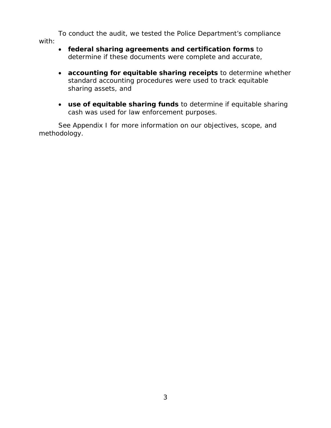To conduct the audit, we tested the Police Department's compliance with:

- **federal sharing agreements and certification forms** to determine if these documents were complete and accurate,
- **accounting for equitable sharing receipts** to determine whether standard accounting procedures were used to track equitable sharing assets, and
- **use of equitable sharing funds** to determine if equitable sharing cash was used for law enforcement purposes.

See Appendix I for more information on our objectives, scope, and methodology.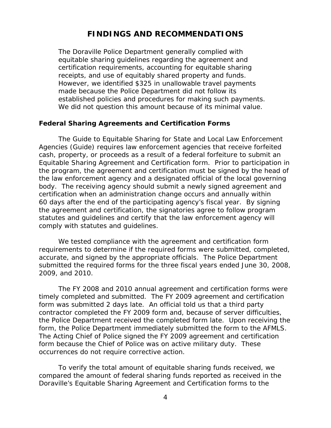#### **FINDINGS AND RECOMMENDATIONS**

The Doraville Police Department generally complied with equitable sharing guidelines regarding the agreement and certification requirements, accounting for equitable sharing receipts, and use of equitably shared property and funds. However, we identified \$325 in unallowable travel payments made because the Police Department did not follow its established policies and procedures for making such payments. We did not question this amount because of its minimal value.

#### **Federal Sharing Agreements and Certification Forms**

The *Guide to Equitable Sharing for State and Local Law Enforcement Agencies* (Guide) requires law enforcement agencies that receive forfeited cash, property, or proceeds as a result of a federal forfeiture to submit an Equitable Sharing Agreement and Certification form. Prior to participation in the program, the agreement and certification must be signed by the head of the law enforcement agency and a designated official of the local governing body. The receiving agency should submit a newly signed agreement and certification when an administration change occurs and annually within 60 days after the end of the participating agency's fiscal year. By signing the agreement and certification, the signatories agree to follow program statutes and guidelines and certify that the law enforcement agency will comply with statutes and guidelines.

We tested compliance with the agreement and certification form requirements to determine if the required forms were submitted, completed, accurate, and signed by the appropriate officials. The Police Department submitted the required forms for the three fiscal years ended June 30, 2008, 2009, and 2010.

The FY 2008 and 2010 annual agreement and certification forms were timely completed and submitted. The FY 2009 agreement and certification form was submitted 2 days late. An official told us that a third party contractor completed the FY 2009 form and, because of server difficulties, the Police Department received the completed form late. Upon receiving the form, the Police Department immediately submitted the form to the AFMLS. The Acting Chief of Police signed the FY 2009 agreement and certification form because the Chief of Police was on active military duty. These occurrences do not require corrective action.

To verify the total amount of equitable sharing funds received, we compared the amount of federal sharing funds reported as received in the Doraville's Equitable Sharing Agreement and Certification forms to the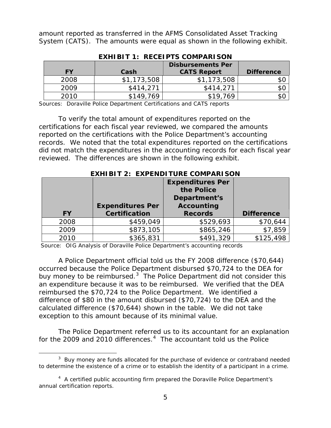amount reported as transferred in the AFMS Consolidated Asset Tracking System (CATS). The amounts were equal as shown in the following exhibit.

|           |             | <b>Disbursements Per</b> |                   |  |  |
|-----------|-------------|--------------------------|-------------------|--|--|
| <b>FY</b> | Cash        | <b>CATS Report</b>       | <b>Difference</b> |  |  |
| 2008      | \$1,173,508 | \$1,173,508              | \$C               |  |  |
| 2009      | \$414.271   | \$414,271                | \$C               |  |  |
| 2010      | \$149,769   | \$19.769                 | \$C               |  |  |

**EXHIBIT 1: RECEIPTS COMPARISON**

Sources: Doraville Police Department Certifications and CATS reports

To verify the total amount of expenditures reported on the certifications for each fiscal year reviewed, we compared the amounts reported on the certifications with the Police Department's accounting records. We noted that the total expenditures reported on the certifications did not match the expenditures in the accounting records for each fiscal year reviewed. The differences are shown in the following exhibit.

|           | LAITIDIT 4. LAFLINDI IUNL COMFANIJON |                         |                   |
|-----------|--------------------------------------|-------------------------|-------------------|
|           |                                      | <b>Expenditures Per</b> |                   |
|           |                                      | the Police              |                   |
|           |                                      | Department's            |                   |
|           | <b>Expenditures Per</b>              | <b>Accounting</b>       |                   |
| <b>FY</b> | <b>Certification</b>                 | <b>Records</b>          | <b>Difference</b> |
| 2008      | \$459,049                            | \$529,693               | \$70,644          |
| 2009      | \$873,105                            | \$865,246               | \$7,859           |
| 2010      |                                      |                         | \$125,498         |

**EXHIBIT 2: EXPENDITURE COMPARISON**

Source: OIG Analysis of Doraville Police Department's accounting records

A Police Department official told us the FY 2008 difference (\$70,644) occurred because the Police Department disbursed \$70,724 to the DEA for buy money to be reimbursed. $3$  The Police Department did not consider this an expenditure because it was to be reimbursed. We verified that the DEA reimbursed the \$70,724 to the Police Department. We identified a difference of \$80 in the amount disbursed (\$70,724) to the DEA and the calculated difference (\$70,644) shown in the table. We did not take exception to this amount because of its minimal value.

The Police Department referred us to its accountant for an explanation for the 2009 and 2010 differences. $4$  The accountant told us the Police

 $\overline{a}$ 

<span id="page-7-0"></span> $3$  Buy money are funds allocated for the purchase of evidence or contraband needed to determine the existence of a crime or to establish the identity of a participant in a crime.

<span id="page-7-1"></span><sup>&</sup>lt;sup>4</sup> A certified public accounting firm prepared the Doraville Police Department's annual certification reports.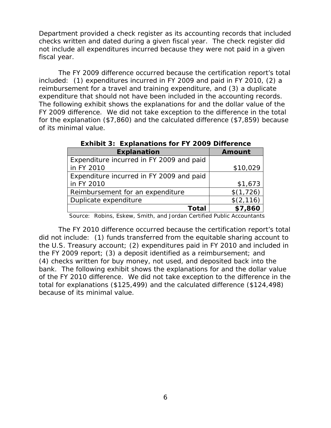Department provided a check register as its accounting records that included checks written and dated during a given fiscal year. The check register did not include all expenditures incurred because they were not paid in a given fiscal year.

The FY 2009 difference occurred because the certification report's total included: (1) expenditures incurred in FY 2009 and paid in FY 2010, (2) a reimbursement for a travel and training expenditure, and (3) a duplicate expenditure that should not have been included in the accounting records. The following exhibit shows the explanations for and the dollar value of the FY 2009 difference. We did not take exception to the difference in the total for the explanation (\$7,860) and the calculated difference (\$7,859) because of its minimal value.

| <b>Explanation</b>                       | <b>Amount</b> |
|------------------------------------------|---------------|
| Expenditure incurred in FY 2009 and paid |               |
| in FY 2010                               | \$10,029      |
| Expenditure incurred in FY 2009 and paid |               |
| in FY 2010                               | \$1,673       |
| Reimbursement for an expenditure         | \$(1,726)     |
| Duplicate expenditure                    | \$(2, 116)    |
| Total                                    | \$7,860       |

 **Exhibit 3: Explanations for FY 2009 Difference** 

Source: Robins, Eskew, Smith, and Jordan Certified Public Accountants

The FY 2010 difference occurred because the certification report's total did not include: (1) funds transferred from the equitable sharing account to the U.S. Treasury account; (2) expenditures paid in FY 2010 and included in the FY 2009 report; (3) a deposit identified as a reimbursement; and (4) checks written for buy money, not used, and deposited back into the bank. The following exhibit shows the explanations for and the dollar value of the FY 2010 difference. We did not take exception to the difference in the total for explanations (\$125,499) and the calculated difference (\$124,498) because of its minimal value.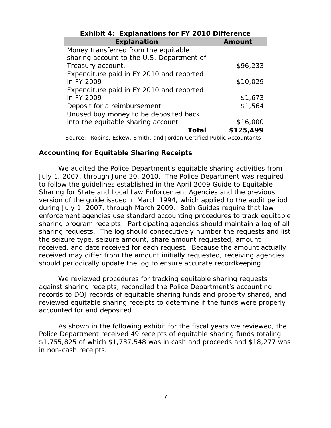|                                           | <b>Amount</b> |
|-------------------------------------------|---------------|
| <b>Explanation</b>                        |               |
| Money transferred from the equitable      |               |
| sharing account to the U.S. Department of |               |
| Treasury account.                         | \$96,233      |
| Expenditure paid in FY 2010 and reported  |               |
| in FY 2009                                | \$10,029      |
| Expenditure paid in FY 2010 and reported  |               |
| in FY 2009                                | \$1,673       |
| Deposit for a reimbursement               | \$1,564       |
| Unused buy money to be deposited back     |               |
| into the equitable sharing account        | \$16,000      |
| Total                                     | \$125,499     |

**Exhibit 4: Explanations for FY 2010 Difference**

Source: Robins, Eskew, Smith, and Jordan Certified Public Accountants

#### **Accounting for Equitable Sharing Receipts**

We audited the Police Department's equitable sharing activities from July 1, 2007, through June 30, 2010. The Police Department was required to follow the guidelines established in the April 2009 *Guide to Equitable Sharing for State and Local Law Enforcement Agencies* and the previous version of the guide issued in March 1994, which applied to the audit period during July 1, 2007, through March 2009. Both Guides require that law enforcement agencies use standard accounting procedures to track equitable sharing program receipts. Participating agencies should maintain a log of all sharing requests. The log should consecutively number the requests and list the seizure type, seizure amount, share amount requested, amount received, and date received for each request. Because the amount actually received may differ from the amount initially requested, receiving agencies should periodically update the log to ensure accurate recordkeeping.

We reviewed procedures for tracking equitable sharing requests against sharing receipts, reconciled the Police Department's accounting records to DOJ records of equitable sharing funds and property shared, and reviewed equitable sharing receipts to determine if the funds were properly accounted for and deposited.

As shown in the following exhibit for the fiscal years we reviewed, the Police Department received 49 receipts of equitable sharing funds totaling \$1,755,825 of which \$1,737,548 was in cash and proceeds and \$18,277 was in non-cash receipts.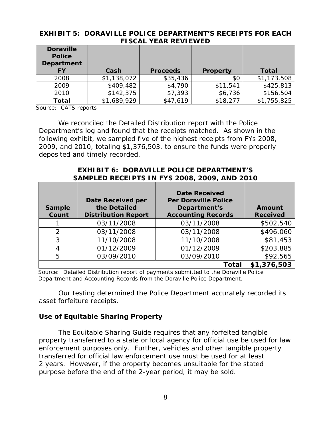|                                                        | I IYYAL ILAN INLVILVVLD |                 |                 |              |  |  |  |
|--------------------------------------------------------|-------------------------|-----------------|-----------------|--------------|--|--|--|
| <b>Doraville</b><br><b>Police</b><br><b>Department</b> |                         |                 |                 |              |  |  |  |
|                                                        |                         |                 |                 |              |  |  |  |
| FΥ                                                     | Cash                    | <b>Proceeds</b> | <b>Property</b> | <b>Total</b> |  |  |  |
| 2008                                                   | \$1,138,072             | \$35,436        | \$0             | \$1,173,508  |  |  |  |
| 2009                                                   | \$409,482               | \$4,790         | \$11,541        | \$425,813    |  |  |  |
| 2010                                                   | \$142,375               | \$7,393         | \$6,736         | \$156,504    |  |  |  |
| <b>Total</b>                                           | \$1,689,929             | \$47,619        | \$18,277        | \$1,755,825  |  |  |  |

#### **EXHIBIT 5: DORAVILLE POLICE DEPARTMENT'S RECEIPTS FOR EACH FISCAL YEAR REVIEWED**

Source: CATS reports

We reconciled the Detailed Distribution report with the Police Department's log and found that the receipts matched. As shown in the following exhibit, we sampled five of the highest receipts from FYs 2008, 2009, and 2010, totaling \$1,376,503, to ensure the funds were properly deposited and timely recorded.

#### **EXHIBIT 6: DORAVILLE POLICE DEPARTMENT'S SAMPLED RECEIPTS IN FYS 2008, 2009, AND 2010**

| <b>Sample</b><br>Count | <b>Date Received per</b><br>the Detailed<br><b>Distribution Report</b> | <b>Date Received</b><br><b>Per Doraville Police</b><br>Department's<br><b>Accounting Records</b> | <b>Amount</b><br><b>Received</b> |
|------------------------|------------------------------------------------------------------------|--------------------------------------------------------------------------------------------------|----------------------------------|
|                        | 03/11/2008                                                             | 03/11/2008                                                                                       | \$502,540                        |
| 2                      | 03/11/2008                                                             | 03/11/2008                                                                                       | \$496,060                        |
| 3                      | 11/10/2008                                                             | 11/10/2008                                                                                       | \$81,453                         |
|                        | 01/12/2009                                                             | 01/12/2009                                                                                       | \$203,885                        |
| 5                      | 03/09/2010                                                             | 03/09/2010                                                                                       | \$92,565                         |
|                        |                                                                        | Total                                                                                            | \$1,376,503                      |

Source: Detailed Distribution report of payments submitted to the Doraville Police Department and Accounting Records from the Doraville Police Department.

Our testing determined the Police Department accurately recorded its asset forfeiture receipts.

#### **Use of Equitable Sharing Property**

The Equitable Sharing Guide requires that any forfeited tangible property transferred to a state or local agency for official use be used for law enforcement purposes only. Further, vehicles and other tangible property transferred for official law enforcement use must be used for at least 2 years. However, if the property becomes unsuitable for the stated purpose before the end of the 2-year period, it may be sold.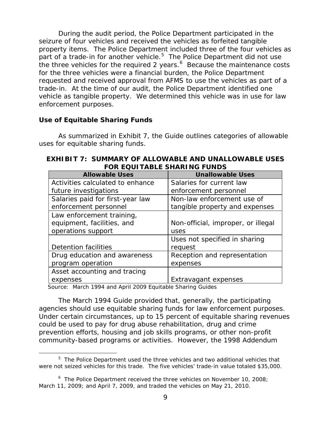During the audit period, the Police Department participated in the seizure of four vehicles and received the vehicles as forfeited tangible property items. The Police Department included three of the four vehicles as part of a trade-in for another vehicle. $5$  The Police Department did not use the three vehicles for the required 2 years. $6\,$  $6\,$  Because the maintenance costs for the three vehicles were a financial burden, the Police Department requested and received approval from AFMS to use the vehicles as part of a trade-in. At the time of our audit, the Police Department identified one vehicle as tangible property. We determined this vehicle was in use for law enforcement purposes.

#### **Use of Equitable Sharing Funds**

 $\overline{a}$ 

As summarized in Exhibit 7, the Guide outlines categories of allowable uses for equitable sharing funds.

| FUR EQUITABLE SHARING FUNDS      |                                    |  |  |  |  |
|----------------------------------|------------------------------------|--|--|--|--|
| <b>Allowable Uses</b>            | <b>Unallowable Uses</b>            |  |  |  |  |
| Activities calculated to enhance | Salaries for current law           |  |  |  |  |
| future investigations            | enforcement personnel              |  |  |  |  |
| Salaries paid for first-year law | Non-law enforcement use of         |  |  |  |  |
| enforcement personnel            | tangible property and expenses     |  |  |  |  |
| Law enforcement training,        |                                    |  |  |  |  |
| equipment, facilities, and       | Non-official, improper, or illegal |  |  |  |  |
| operations support               | uses                               |  |  |  |  |
|                                  | Uses not specified in sharing      |  |  |  |  |
| Detention facilities             | request                            |  |  |  |  |
| Drug education and awareness     | Reception and representation       |  |  |  |  |
| program operation                | expenses                           |  |  |  |  |
| Asset accounting and tracing     |                                    |  |  |  |  |
| expenses                         | Extravagant expenses               |  |  |  |  |

#### **EXHIBIT 7: SUMMARY OF ALLOWABLE AND UNALLOWABLE USES FOR EQUITABLE SHARING FUNDS**

Source: March 1994 and April 2009 Equitable Sharing Guides

The March 1994 Guide provided that, generally, the participating agencies should use equitable sharing funds for law enforcement purposes. Under certain circumstances, up to 15 percent of equitable sharing revenues could be used to pay for drug abuse rehabilitation, drug and crime prevention efforts, housing and job skills programs, or other non-profit community-based programs or activities. However, the 1998 Addendum

<span id="page-11-0"></span><sup>&</sup>lt;sup>5</sup> The Police Department used the three vehicles and two additional vehicles that were not seized vehicles for this trade. The five vehicles' trade-in value totaled \$35,000.

<span id="page-11-1"></span><sup>&</sup>lt;sup>6</sup> The Police Department received the three vehicles on November 10, 2008; March 11, 2009; and April 7, 2009, and traded the vehicles on May 21, 2010.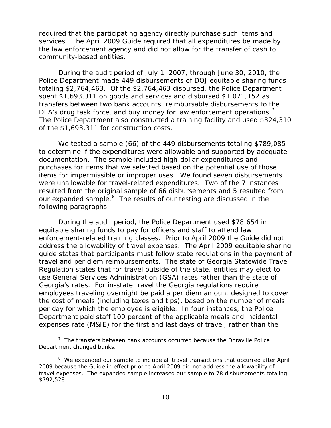required that the participating agency directly purchase such items and services. The April 2009 Guide required that all expenditures be made by the law enforcement agency and did not allow for the transfer of cash to community-based entities.

During the audit period of July 1, 2007, through June 30, 2010, the Police Department made 449 disbursements of DOJ equitable sharing funds totaling \$2,764,463. Of the \$2,764,463 disbursed, the Police Department spent \$1,693,311 on goods and services and disbursed \$1,071,152 as transfers between two bank accounts, reimbursable disbursements to the DEA's drug task force, and buy money for law enforcement operations.<sup>[7](#page-12-0)</sup> The Police Department also constructed a training facility and used \$324,310 of the \$1,693,311 for construction costs.

We tested a sample (66) of the 449 disbursements totaling \$789,085 to determine if the expenditures were allowable and supported by adequate documentation. The sample included high-dollar expenditures and purchases for items that we selected based on the potential use of those items for impermissible or improper uses. We found seven disbursements were unallowable for travel-related expenditures. Two of the 7 instances resulted from the original sample of 66 disbursements and 5 resulted from our expanded sample.<sup>[8](#page-12-1)</sup> The results of our testing are discussed in the following paragraphs.

During the audit period, the Police Department used \$78,654 in equitable sharing funds to pay for officers and staff to attend law enforcement-related training classes. Prior to April 2009 the Guide did not address the allowability of travel expenses. The April 2009 equitable sharing guide states that participants must follow state regulations in the payment of travel and per diem reimbursements. The state of Georgia Statewide Travel Regulation states that for travel outside of the state, entities may elect to use General Services Administration (GSA) rates rather than the state of Georgia's rates. For in-state travel the Georgia regulations require employees traveling overnight be paid a per diem amount designed to cover the cost of meals (including taxes and tips), based on the number of meals per day for which the employee is eligible. In four instances, the Police Department paid staff 100 percent of the applicable meals and incidental expenses rate (M&IE) for the first and last days of travel, rather than the

 $\overline{a}$ 

<span id="page-12-0"></span> $7$  The transfers between bank accounts occurred because the Doraville Police Department changed banks.

<span id="page-12-1"></span><sup>&</sup>lt;sup>8</sup> We expanded our sample to include all travel transactions that occurred after April 2009 because the Guide in effect prior to April 2009 did not address the allowability of travel expenses. The expanded sample increased our sample to 78 disbursements totaling \$792,528.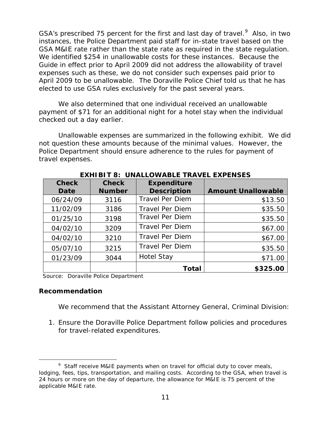GSA's prescribed 75 percent for the first and last day of travel. $^9$  $^9$  Also, in two instances, the Police Department paid staff for in-state travel based on the GSA M&IE rate rather than the state rate as required in the state regulation. We identified \$254 in unallowable costs for these instances. Because the Guide in effect prior to April 2009 did not address the allowability of travel expenses such as these, we do not consider such expenses paid prior to April 2009 to be unallowable. The Doraville Police Chief told us that he has elected to use GSA rules exclusively for the past several years.

We also determined that one individual received an unallowable payment of \$71 for an additional night for a hotel stay when the individual checked out a day earlier.

Unallowable expenses are summarized in the following exhibit. We did not question these amounts because of the minimal values. However, the Police Department should ensure adherence to the rules for payment of travel expenses.

| <b>Check</b> | <b>Check</b>  | <b>Expenditure</b>     |                           |
|--------------|---------------|------------------------|---------------------------|
| <b>Date</b>  | <b>Number</b> | <b>Description</b>     | <b>Amount Unallowable</b> |
| 06/24/09     | 3116          | <b>Travel Per Diem</b> | \$13.50                   |
| 11/02/09     | 3186          | <b>Travel Per Diem</b> | \$35.50                   |
| 01/25/10     | 3198          | <b>Travel Per Diem</b> | \$35.50                   |
| 04/02/10     | 3209          | <b>Travel Per Diem</b> | \$67.00                   |
| 04/02/10     | 3210          | <b>Travel Per Diem</b> | \$67.00                   |
| 05/07/10     | 3215          | <b>Travel Per Diem</b> | \$35.50                   |
| 01/23/09     | 3044          | <b>Hotel Stay</b>      | \$71.00                   |
|              |               | <b>Total</b>           | \$325.00                  |

**EXHIBIT 8: UNALLOWABLE TRAVEL EXPENSES**

Source: Doraville Police Department

#### **Recommendation**

We recommend that the Assistant Attorney General, Criminal Division:

1. Ensure the Doraville Police Department follow policies and procedures for travel-related expenditures.

<span id="page-13-0"></span> $\overline{a}$ <sup>9</sup> Staff receive M&IE payments when on travel for official duty to cover meals, lodging, fees, tips, transportation, and mailing costs. According to the GSA, when travel is 24 hours or more on the day of departure, the allowance for M&IE is 75 percent of the applicable M&IE rate.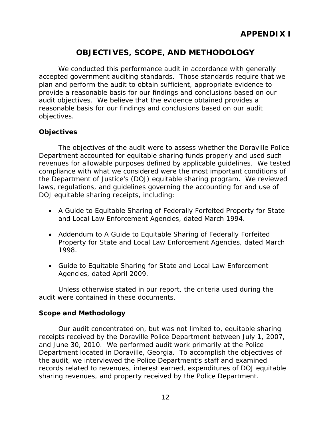## **OBJECTIVES, SCOPE, AND METHODOLOGY**

We conducted this performance audit in accordance with generally accepted government auditing standards. Those standards require that we plan and perform the audit to obtain sufficient, appropriate evidence to provide a reasonable basis for our findings and conclusions based on our audit objectives. We believe that the evidence obtained provides a reasonable basis for our findings and conclusions based on our audit objectives.

#### **Objectives**

The objectives of the audit were to assess whether the Doraville Police Department accounted for equitable sharing funds properly and used such revenues for allowable purposes defined by applicable guidelines. We tested compliance with what we considered were the most important conditions of the Department of Justice's (DOJ) equitable sharing program. We reviewed laws, regulations, and guidelines governing the accounting for and use of DOJ equitable sharing receipts, including:

- *A Guide to Equitable Sharing of Federally Forfeited Property for State and Local Law Enforcement Agencies,* dated March 1994.
- *Addendum to A Guide to Equitable Sharing of Federally Forfeited Property for State and Local Law Enforcement Agencies,* dated March 1998.
- *Guide to Equitable Sharing for State and Local Law Enforcement Agencies,* dated April 2009.

Unless otherwise stated in our report, the criteria used during the audit were contained in these documents.

#### **Scope and Methodology**

Our audit concentrated on, but was not limited to, equitable sharing receipts received by the Doraville Police Department between July 1, 2007, and June 30, 2010. We performed audit work primarily at the Police Department located in Doraville, Georgia. To accomplish the objectives of the audit, we interviewed the Police Department's staff and examined records related to revenues, interest earned, expenditures of DOJ equitable sharing revenues, and property received by the Police Department.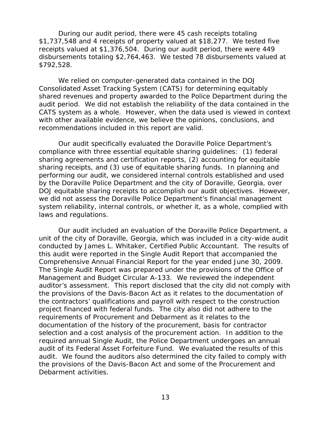During our audit period, there were 45 cash receipts totaling \$1,737,548 and 4 receipts of property valued at \$18,277. We tested five receipts valued at \$1,376,504. During our audit period, there were 449 disbursements totaling \$2,764,463. We tested 78 disbursements valued at \$792,528.

We relied on computer-generated data contained in the DOJ Consolidated Asset Tracking System (CATS) for determining equitably shared revenues and property awarded to the Police Department during the audit period. We did not establish the reliability of the data contained in the CATS system as a whole. However, when the data used is viewed in context with other available evidence, we believe the opinions, conclusions, and recommendations included in this report are valid.

Our audit specifically evaluated the Doraville Police Department's compliance with three essential equitable sharing guidelines: (1) federal sharing agreements and certification reports, (2) accounting for equitable sharing receipts, and (3) use of equitable sharing funds. In planning and performing our audit, we considered internal controls established and used by the Doraville Police Department and the city of Doraville, Georgia, over DOJ equitable sharing receipts to accomplish our audit objectives. However, we did not assess the Doraville Police Department's financial management system reliability, internal controls, or whether it, as a whole, complied with laws and regulations.

Our audit included an evaluation of the Doraville Police Department, a unit of the city of Doraville, Georgia, which was included in a city-wide audit conducted by James L. Whitaker, Certified Public Accountant. The results of this audit were reported in the Single Audit Report that accompanied the Comprehensive Annual Financial Report for the year ended June 30, 2009. The Single Audit Report was prepared under the provisions of the Office of Management and Budget Circular A-133. We reviewed the independent auditor's assessment. This report disclosed that the city did not comply with the provisions of the Davis-Bacon Act as it relates to the documentation of the contractors' qualifications and payroll with respect to the construction project financed with federal funds. The city also did not adhere to the requirements of Procurement and Debarment as it relates to the documentation of the history of the procurement, basis for contractor selection and a cost analysis of the procurement action. In addition to the required annual Single Audit, the Police Department undergoes an annual audit of its Federal Asset Forfeiture Fund. We evaluated the results of this audit. We found the auditors also determined the city failed to comply with the provisions of the Davis-Bacon Act and some of the Procurement and Debarment activities.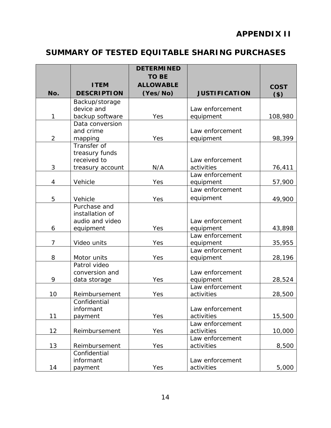## **APPENDIX II**

## **SUMMARY OF TESTED EQUITABLE SHARING PURCHASES**

|                |                                 | <b>DETERMINED</b>                |                               |                        |
|----------------|---------------------------------|----------------------------------|-------------------------------|------------------------|
|                | <b>ITEM</b>                     | <b>TO BE</b><br><b>ALLOWABLE</b> |                               |                        |
| No.            | <b>DESCRIPTION</b>              | (Yes/No)                         | <b>JUSTIFICATION</b>          | <b>COST</b><br>$($ \$) |
|                | Backup/storage                  |                                  |                               |                        |
|                | device and                      |                                  | Law enforcement               |                        |
| 1              | backup software                 | Yes                              | equipment                     | 108,980                |
|                | Data conversion                 |                                  |                               |                        |
|                | and crime                       |                                  | Law enforcement               |                        |
| $\overline{2}$ | mapping                         | Yes                              | equipment                     | 98,399                 |
|                | Transfer of                     |                                  |                               |                        |
|                | treasury funds                  |                                  |                               |                        |
| 3              | received to                     | N/A                              | Law enforcement               |                        |
|                | treasury account                |                                  | activities<br>Law enforcement | 76,411                 |
| 4              | Vehicle                         | Yes                              | equipment                     | 57,900                 |
|                |                                 |                                  | Law enforcement               |                        |
|                |                                 |                                  | equipment                     |                        |
| 5              | Vehicle                         | Yes                              |                               | 49,900                 |
|                | Purchase and<br>installation of |                                  |                               |                        |
|                | audio and video                 |                                  | Law enforcement               |                        |
| 6              | equipment                       | Yes                              | equipment                     | 43,898                 |
|                |                                 |                                  | Law enforcement               |                        |
| $\overline{7}$ | Video units                     | Yes                              | equipment                     | 35,955                 |
|                |                                 |                                  | Law enforcement               |                        |
| 8              | Motor units                     | Yes                              | equipment                     | 28,196                 |
|                | Patrol video                    |                                  |                               |                        |
|                | conversion and                  |                                  | Law enforcement               |                        |
| 9              | data storage                    | Yes                              | equipment                     | 28,524                 |
|                |                                 |                                  | Law enforcement               |                        |
| 10             | Reimbursement                   | Yes                              | activities                    | 28,500                 |
|                | Confidential                    |                                  |                               |                        |
|                | informant                       |                                  | Law enforcement               |                        |
| 11             | payment                         | Yes                              | activities                    | 15,500                 |
|                |                                 |                                  | Law enforcement               |                        |
| 12             | Reimbursement                   | Yes                              | activities                    | 10,000                 |
|                |                                 |                                  | Law enforcement               |                        |
| 13             | Reimbursement                   | Yes                              | activities                    | 8,500                  |
|                | Confidential<br>informant       |                                  | Law enforcement               |                        |
|                |                                 |                                  |                               |                        |
| 14             | payment                         | Yes                              | activities                    | 5,000                  |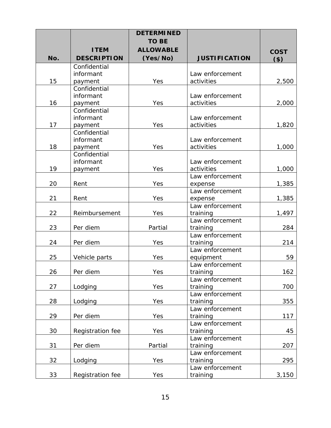|     |                    | <b>DETERMINED</b> |                      |             |
|-----|--------------------|-------------------|----------------------|-------------|
|     |                    | <b>TO BE</b>      |                      |             |
|     | <b>ITEM</b>        | <b>ALLOWABLE</b>  |                      | <b>COST</b> |
| No. | <b>DESCRIPTION</b> | (Yes/No)          | <b>JUSTIFICATION</b> | $($ \$)     |
|     | Confidential       |                   |                      |             |
|     | informant          |                   | Law enforcement      |             |
| 15  | payment            | Yes               | activities           | 2,500       |
|     | Confidential       |                   |                      |             |
|     | informant          |                   | Law enforcement      |             |
| 16  | payment            | Yes               | activities           | 2,000       |
|     | Confidential       |                   |                      |             |
|     | informant          |                   | Law enforcement      |             |
| 17  | payment            | Yes               | activities           | 1,820       |
|     | Confidential       |                   |                      |             |
|     | informant          |                   | Law enforcement      |             |
| 18  | payment            | Yes               | activities           | 1,000       |
|     | Confidential       |                   |                      |             |
|     | informant          |                   | Law enforcement      |             |
| 19  | payment            | Yes               | activities           | 1,000       |
|     |                    |                   | Law enforcement      |             |
| 20  | Rent               | Yes               | expense              | 1,385       |
|     |                    |                   | Law enforcement      |             |
| 21  | Rent               | Yes               | expense              | 1,385       |
|     |                    |                   | Law enforcement      |             |
| 22  | Reimbursement      | Yes               | training             | 1,497       |
|     |                    |                   | Law enforcement      |             |
| 23  | Per diem           | Partial           | training             | 284         |
|     |                    |                   | Law enforcement      |             |
| 24  | Per diem           | Yes               | training             | 214         |
|     |                    |                   | Law enforcement      |             |
| 25  | Vehicle parts      | Yes               | equipment            | 59          |
|     |                    |                   | Law enforcement      |             |
| 26  | Per diem           | Yes               | training             | 162         |
|     |                    |                   | Law enforcement      |             |
| 27  | Lodging            | Yes               | training             | 700         |
|     |                    |                   | Law enforcement      |             |
| 28  | Lodging            | Yes               | training             | 355         |
|     |                    |                   | Law enforcement      |             |
| 29  | Per diem           | Yes               | training             | 117         |
|     |                    |                   | Law enforcement      |             |
| 30  | Registration fee   | Yes               | training             | 45          |
|     |                    |                   | Law enforcement      |             |
| 31  | Per diem           | Partial           | training             | 207         |
|     |                    |                   | Law enforcement      |             |
| 32  | Lodging            | Yes               | training             | 295         |
|     |                    |                   | Law enforcement      |             |
| 33  | Registration fee   | Yes               | training             | 3,150       |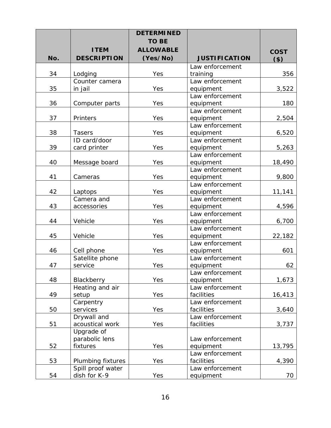|     |                    | <b>DETERMINED</b> |                              |             |
|-----|--------------------|-------------------|------------------------------|-------------|
|     |                    | <b>TO BE</b>      |                              |             |
|     | <b>ITEM</b>        | <b>ALLOWABLE</b>  |                              | <b>COST</b> |
| No. | <b>DESCRIPTION</b> | (Yes/No)          | <b>JUSTIFICATION</b>         | $($ \$)     |
|     |                    |                   | Law enforcement              |             |
| 34  | Lodging            | Yes               | training                     | 356         |
|     | Counter camera     |                   | Law enforcement              |             |
| 35  | in jail            | Yes               | equipment                    | 3,522       |
|     |                    |                   | Law enforcement              |             |
| 36  | Computer parts     | Yes               | equipment                    | 180         |
|     |                    |                   | Law enforcement              |             |
| 37  | Printers           | Yes               | equipment                    | 2,504       |
|     |                    |                   | Law enforcement              |             |
| 38  | <b>Tasers</b>      | Yes               | equipment                    | 6,520       |
|     | ID card/door       |                   | Law enforcement              |             |
| 39  | card printer       | Yes               | equipment                    | 5,263       |
| 40  |                    |                   | Law enforcement              |             |
|     | Message board      | Yes               | equipment<br>Law enforcement | 18,490      |
| 41  | Cameras            | Yes               | equipment                    | 9,800       |
|     |                    |                   | Law enforcement              |             |
| 42  | Laptops            | Yes               | equipment                    | 11,141      |
|     | Camera and         |                   | Law enforcement              |             |
| 43  | accessories        | Yes               | equipment                    | 4,596       |
|     |                    |                   | Law enforcement              |             |
| 44  | Vehicle            | Yes               | equipment                    | 6,700       |
|     |                    |                   | Law enforcement              |             |
| 45  | Vehicle            | Yes               | equipment                    | 22,182      |
|     |                    |                   | Law enforcement              |             |
| 46  | Cell phone         | Yes               | equipment                    | 601         |
|     | Satellite phone    |                   | Law enforcement              |             |
| 47  | service            | Yes               | equipment                    | 62          |
|     |                    |                   | Law enforcement              |             |
| 48  | Blackberry         | Yes               | equipment                    | 1,673       |
|     | Heating and air    |                   | Law enforcement              |             |
| 49  | setup              | Yes               | facilities                   | 16,413      |
|     | Carpentry          |                   | Law enforcement              |             |
| 50  | services           | Yes               | facilities                   | 3,640       |
|     | Drywall and        |                   | Law enforcement              |             |
| 51  | acoustical work    | Yes               | facilities                   | 3,737       |
|     | Upgrade of         |                   |                              |             |
|     | parabolic lens     |                   | Law enforcement              |             |
| 52  | fixtures           | Yes               | equipment                    | 13,795      |
|     |                    |                   | Law enforcement              |             |
| 53  | Plumbing fixtures  | Yes               | facilities                   | 4,390       |
|     | Spill proof water  |                   | Law enforcement              |             |
| 54  | dish for K-9       | Yes               | equipment                    | 70          |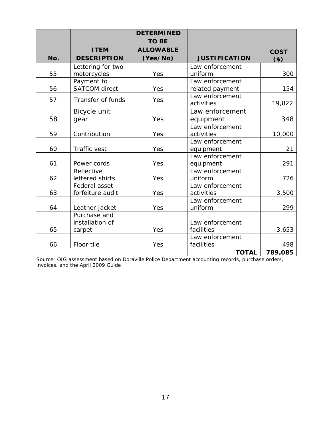|     |                      | <b>DETERMINED</b> |                      |             |
|-----|----------------------|-------------------|----------------------|-------------|
|     |                      | <b>TO BE</b>      |                      |             |
|     | <b>ITEM</b>          | <b>ALLOWABLE</b>  |                      | <b>COST</b> |
| No. | <b>DESCRIPTION</b>   | (Yes/No)          | <b>JUSTIFICATION</b> | $($ \$)     |
|     | Lettering for two    |                   | Law enforcement      |             |
| 55  | motorcycles          | Yes               | uniform              | 300         |
|     | Payment to           |                   | Law enforcement      |             |
| 56  | <b>SATCOM</b> direct | Yes               | related payment      | 154         |
| 57  | Transfer of funds    | Yes               | Law enforcement      |             |
|     |                      |                   | activities           | 19,822      |
|     | Bicycle unit         |                   | Law enforcement      |             |
| 58  | gear                 | Yes               | equipment            | 348         |
|     |                      |                   | Law enforcement      |             |
| 59  | Contribution         | Yes               | activities           | 10,000      |
|     |                      |                   | Law enforcement      |             |
| 60  | Traffic vest         | Yes               | equipment            | 21          |
|     |                      |                   | Law enforcement      |             |
| 61  | Power cords          | Yes               | equipment            | 291         |
|     | Reflective           |                   | Law enforcement      |             |
| 62  | lettered shirts      | Yes               | uniform              | 726         |
|     | Federal asset        |                   | Law enforcement      |             |
| 63  | forfeiture audit     | Yes               | activities           | 3,500       |
|     |                      |                   | Law enforcement      |             |
| 64  | Leather jacket       | Yes               | uniform              | 299         |
|     | Purchase and         |                   |                      |             |
|     | installation of      |                   | Law enforcement      |             |
| 65  | carpet               | Yes               | facilities           | 3,653       |
|     |                      |                   | Law enforcement      |             |
| 66  | Floor tile           | Yes               | facilities           | 498         |
|     |                      |                   | <b>TOTAL</b>         | 789,085     |

Source: OIG assessment based on Doraville Police Department accounting records, purchase orders, invoices, and the April 2009 Guide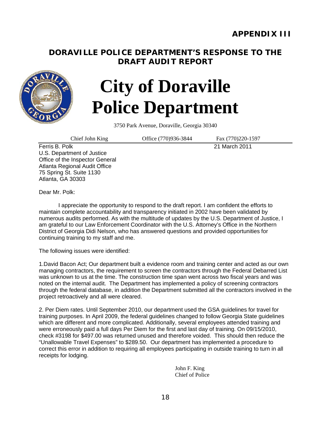## **DORAVILLE POLICE DEPARTMENT'S RESPONSE TO THE DRAFT AUDIT REPORT**



# **City of Doraville Police Department**

3750 Park Avenue, Doraville, Georgia 30340

Chief John King 0ffice (770)936-3844 Fax (770)220-1597

Ferris B. Polk 21 March 2011 U.S. Department of Justice Office of the Inspector General Atlanta Regional Audit Office 75 Spring St. Suite 1130 Atlanta, GA 30303

Dear Mr. Polk:

I appreciate the opportunity to respond to the draft report. I am confident the efforts to maintain complete accountability and transparency initiated in 2002 have been validated by numerous audits performed. As with the multitude of updates by the U.S. Department of Justice, I am grateful to our Law Enforcement Coordinator with the U.S. Attorney's Office in the Northern District of Georgia Didi Nelson, who has answered questions and provided opportunities for continuing training to my staff and me.

The following issues were identified:

1.David Bacon Act; Our department built a evidence room and training center and acted as our own managing contractors, the requirement to screen the contractors through the Federal Debarred List was unknown to us at the time. The construction time span went across two fiscal years and was noted on the internal audit. The Department has implemented a policy of screening contractors through the federal database, in addition the Department submitted all the contractors involved in the project retroactively and all were cleared.

2. Per Diem rates. Until September 2010, our department used the GSA guidelines for travel for training purposes. In April 2009, the federal guidelines changed to follow Georgia State guidelines which are different and more complicated. Additionally, several employees attended training and were erroneously paid a full days Per Diem for the first and last day of training. On 09/15/2010, check #3198 for \$497.00 was returned unused and therefore voided. This should then reduce the "Unallowable Travel Expenses" to \$289.50. Our department has implemented a procedure to correct this error in addition to requiring all employees participating in outside training to turn in all receipts for lodging.

> John F. King Chief of Police